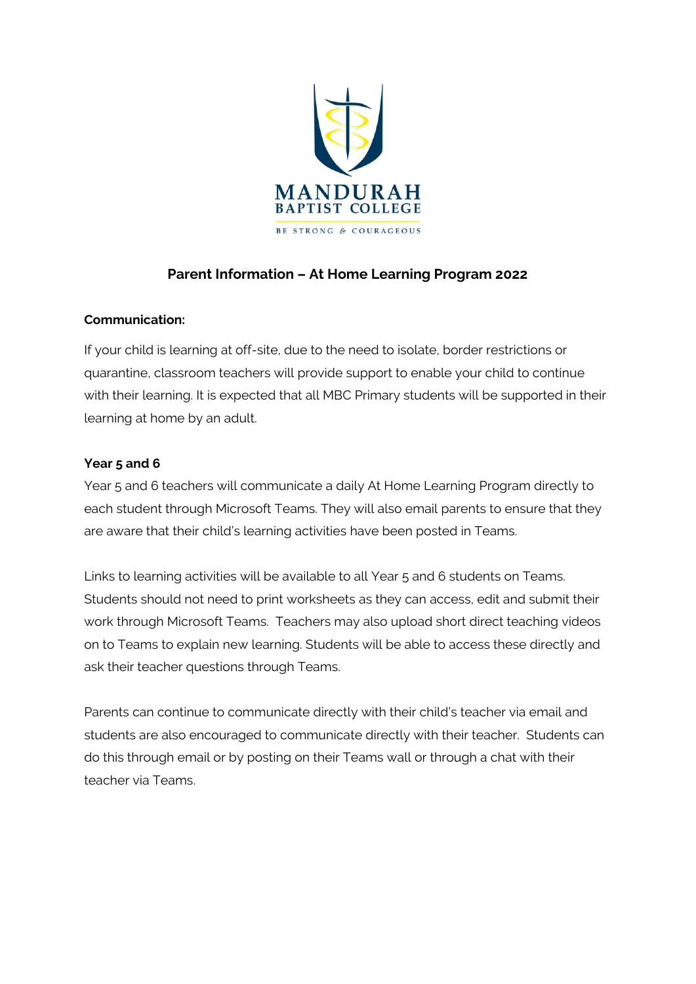

# **Parent Information – At Home Learning Program 2022**

## **Communication:**

If your child is learning at off-site, due to the need to isolate, border restrictions or quarantine, classroom teachers will provide support to enable your child to continue with their learning. It is expected that all MBC Primary students will be supported in their learning at home by an adult.

## **Year 5 and 6**

Year 5 and 6 teachers will communicate a daily At Home Learning Program directly to each student through Microsoft Teams. They will also email parents to ensure that they are aware that their child's learning activities have been posted in Teams.

Links to learning activities will be available to all Year 5 and 6 students on Teams. Students should not need to print worksheets as they can access, edit and submit their work through Microsoft Teams. Teachers may also upload short direct teaching videos on to Teams to explain new learning. Students will be able to access these directly and ask their teacher questions through Teams.

Parents can continue to communicate directly with their child's teacher via email and students are also encouraged to communicate directly with their teacher. Students can do this through email or by posting on their Teams wall or through a chat with their teacher via Teams.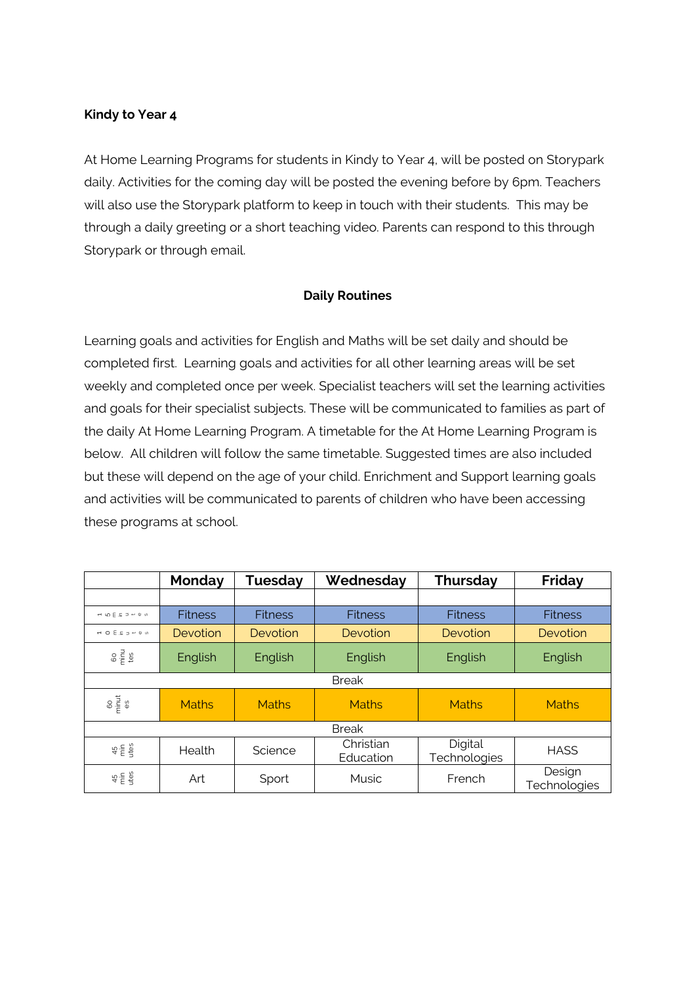#### **Kindy to Year 4**

At Home Learning Programs for students in Kindy to Year 4, will be posted on Storypark daily. Activities for the coming day will be posted the evening before by 6pm. Teachers will also use the Storypark platform to keep in touch with their students. This may be through a daily greeting or a short teaching video. Parents can respond to this through Storypark or through email.

## **Daily Routines**

Learning goals and activities for English and Maths will be set daily and should be completed first. Learning goals and activities for all other learning areas will be set weekly and completed once per week. Specialist teachers will set the learning activities and goals for their specialist subjects. These will be communicated to families as part of the daily At Home Learning Program. A timetable for the At Home Learning Program is below. All children will follow the same timetable. Suggested times are also included but these will depend on the age of your child. Enrichment and Support learning goals and activities will be communicated to parents of children who have been accessing these programs at school.

|                                                                                                                        | Monday         | <b>Tuesday</b> | Wednesday              | <b>Thursday</b>         | Friday                 |
|------------------------------------------------------------------------------------------------------------------------|----------------|----------------|------------------------|-------------------------|------------------------|
|                                                                                                                        |                |                |                        |                         |                        |
|                                                                                                                        | <b>Fitness</b> | <b>Fitness</b> | <b>Fitness</b>         | <b>Fitness</b>          | <b>Fitness</b>         |
| $\begin{array}{ccccccccc} \leftarrow & \circ & \in & \subseteq & \Rightarrow & \leftarrow & \circ & \circ \end{array}$ | Devotion       | Devotion       | Devotion               | Devotion                | Devotion               |
| $\frac{1}{2}$ $\frac{1}{2}$ $\frac{1}{2}$                                                                              | English        | English        | English                | English                 | English                |
| <b>Break</b>                                                                                                           |                |                |                        |                         |                        |
| $rac{60}{3}$                                                                                                           | <b>Maths</b>   | <b>Maths</b>   | <b>Maths</b>           | <b>Maths</b>            | <b>Maths</b>           |
| <b>Break</b>                                                                                                           |                |                |                        |                         |                        |
| $45 + 20$                                                                                                              | Health         | Science        | Christian<br>Education | Digital<br>Technologies | <b>HASS</b>            |
| $45 + 26$                                                                                                              | Art            | Sport          | <b>Music</b>           | French                  | Design<br>Technologies |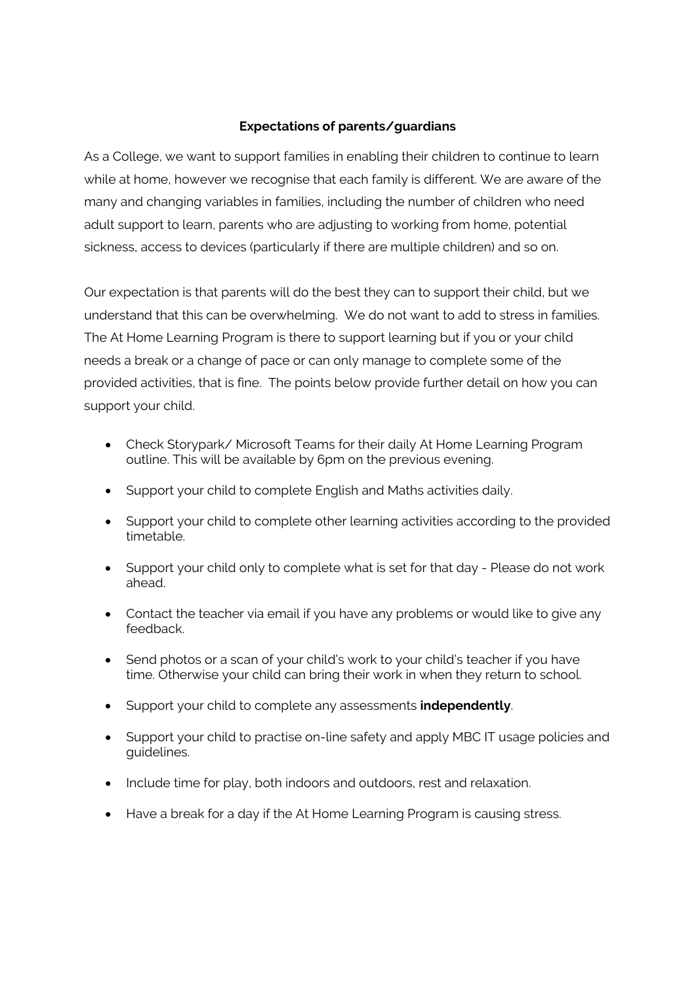#### **Expectations of parents/guardians**

As a College, we want to support families in enabling their children to continue to learn while at home, however we recognise that each family is different. We are aware of the many and changing variables in families, including the number of children who need adult support to learn, parents who are adjusting to working from home, potential sickness, access to devices (particularly if there are multiple children) and so on.

Our expectation is that parents will do the best they can to support their child, but we understand that this can be overwhelming. We do not want to add to stress in families. The At Home Learning Program is there to support learning but if you or your child needs a break or a change of pace or can only manage to complete some of the provided activities, that is fine. The points below provide further detail on how you can support your child.

- Check Storypark/ Microsoft Teams for their daily At Home Learning Program outline. This will be available by 6pm on the previous evening.
- Support your child to complete English and Maths activities daily.
- Support your child to complete other learning activities according to the provided timetable.
- Support your child only to complete what is set for that day Please do not work ahead.
- Contact the teacher via email if you have any problems or would like to give any feedback.
- Send photos or a scan of your child's work to your child's teacher if you have time. Otherwise your child can bring their work in when they return to school.
- Support your child to complete any assessments **independently**.
- Support your child to practise on-line safety and apply MBC IT usage policies and guidelines.
- Include time for play, both indoors and outdoors, rest and relaxation.
- Have a break for a day if the At Home Learning Program is causing stress.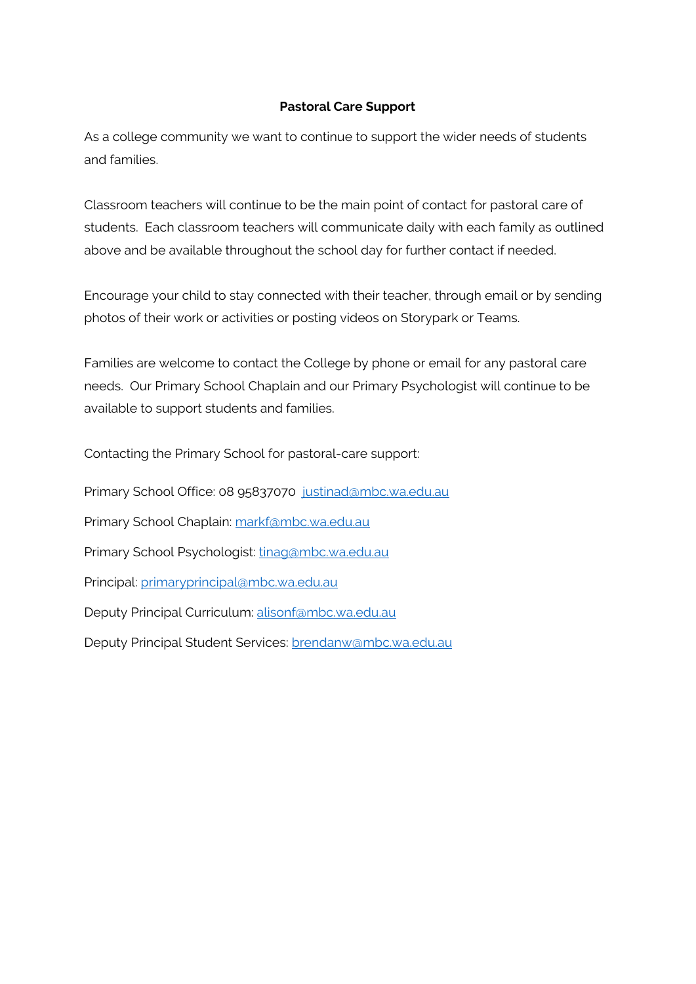## **Pastoral Care Support**

As a college community we want to continue to support the wider needs of students and families.

Classroom teachers will continue to be the main point of contact for pastoral care of students. Each classroom teachers will communicate daily with each family as outlined above and be available throughout the school day for further contact if needed.

Encourage your child to stay connected with their teacher, through email or by sending photos of their work or activities or posting videos on Storypark or Teams.

Families are welcome to contact the College by phone or email for any pastoral care needs. Our Primary School Chaplain and our Primary Psychologist will continue to be available to support students and families.

Contacting the Primary School for pastoral-care support:

Primary School Office: 08 95837070 [justinad@mbc.wa.edu.au](mailto:justinad@mbc.wa.edu.au) Primary School Chaplain: [markf@mbc.wa.edu.au](mailto:markf@mbc.wa.edu.au) Primary School Psychologist: [tinag@mbc.wa.edu.au](mailto:tinag@mbc.wa.edu.au) Principal: [primaryprincipal@mbc.wa.edu.au](mailto:primaryprincipal@mbc.wa.edu.au) Deputy Principal Curriculum: [alisonf@mbc.wa.edu.au](mailto:alisonf@mbc.wa.edu.au) Deputy Principal Student Services: [brendanw@mbc.wa.edu.au](mailto:brendanw@mbc.wa.edu.au)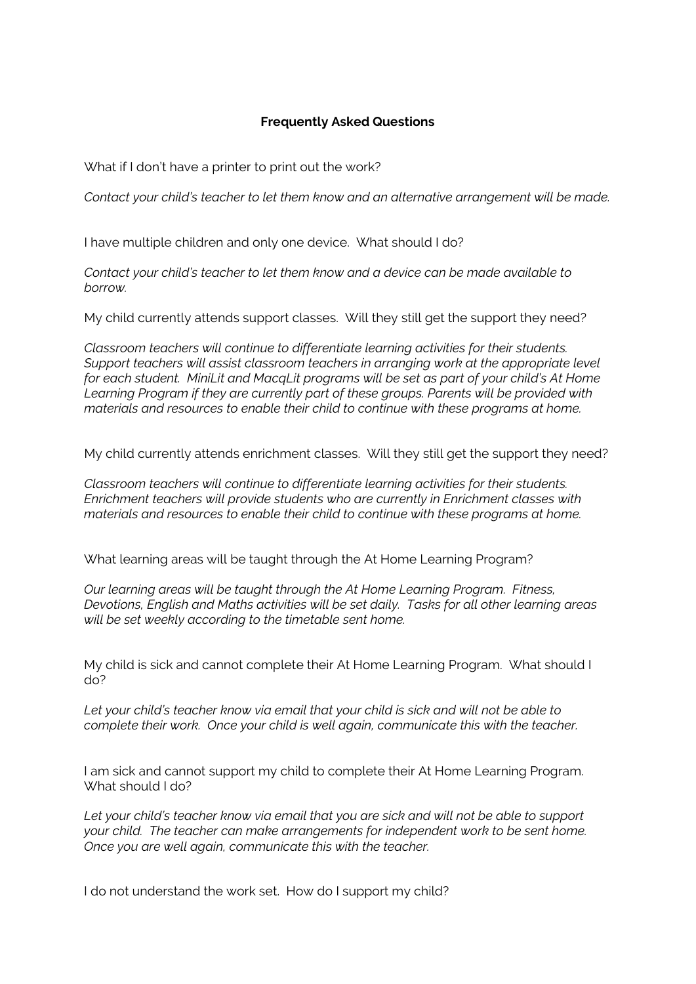### **Frequently Asked Questions**

What if I don't have a printer to print out the work?

*Contact your child's teacher to let them know and an alternative arrangement will be made.*

I have multiple children and only one device. What should I do?

*Contact your child's teacher to let them know and a device can be made available to borrow.*

My child currently attends support classes. Will they still get the support they need?

*Classroom teachers will continue to differentiate learning activities for their students. Support teachers will assist classroom teachers in arranging work at the appropriate level for each student. MiniLit and MacqLit programs will be set as part of your child's At Home Learning Program if they are currently part of these groups. Parents will be provided with materials and resources to enable their child to continue with these programs at home.*

My child currently attends enrichment classes. Will they still get the support they need?

*Classroom teachers will continue to differentiate learning activities for their students. Enrichment teachers will provide students who are currently in Enrichment classes with materials and resources to enable their child to continue with these programs at home.*

What learning areas will be taught through the At Home Learning Program?

*Our learning areas will be taught through the At Home Learning Program. Fitness, Devotions, English and Maths activities will be set daily. Tasks for all other learning areas will be set weekly according to the timetable sent home.*

My child is sick and cannot complete their At Home Learning Program. What should I do?

*Let your child's teacher know via email that your child is sick and will not be able to complete their work. Once your child is well again, communicate this with the teacher.*

I am sick and cannot support my child to complete their At Home Learning Program. What should I do?

*Let your child's teacher know via email that you are sick and will not be able to support your child. The teacher can make arrangements for independent work to be sent home. Once you are well again, communicate this with the teacher.*

I do not understand the work set. How do I support my child?